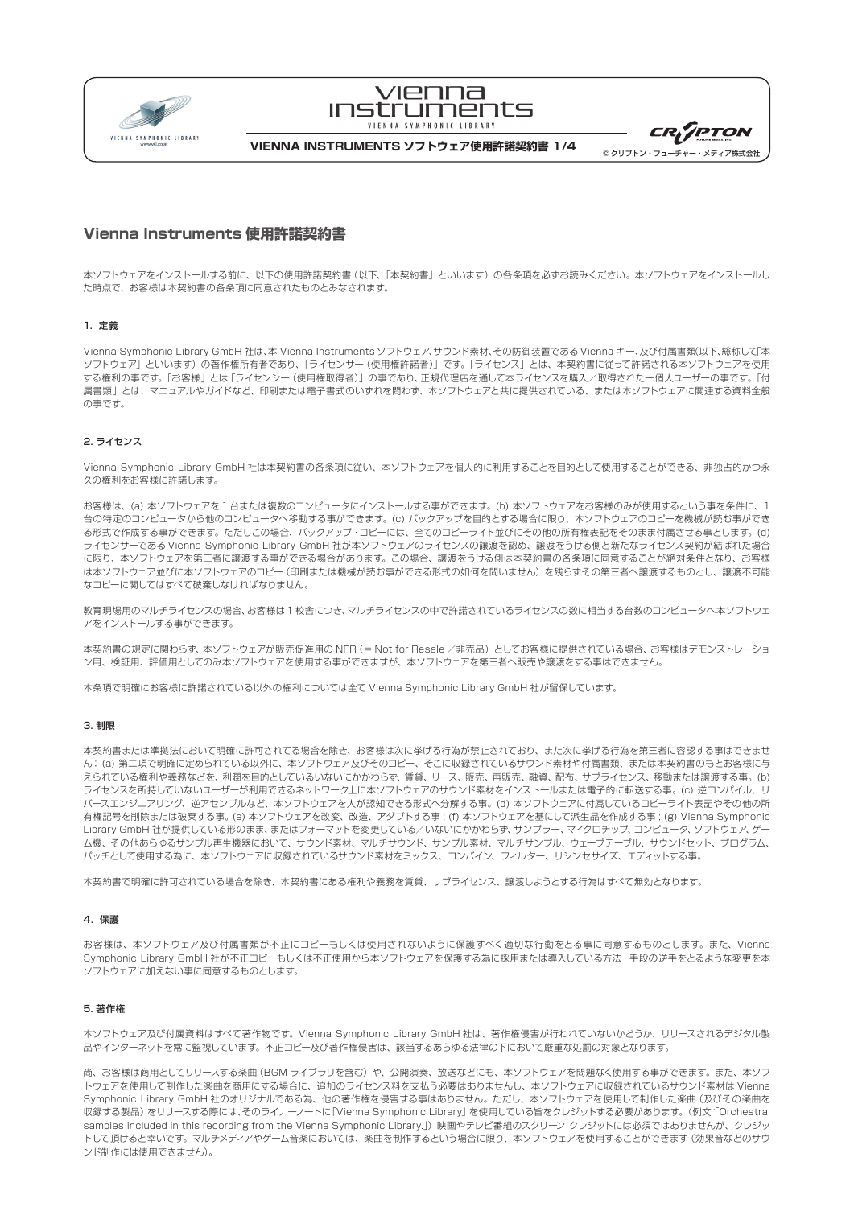

# VIPNNA **INSTRUMPNTS** VIENNA SYMPHONIC LIBRARY

| <b>CR<sub>I</sub>TPTON</b> |
|----------------------------|
| ◎ クリプトン・フューチャー・メディア株式会社    |

**VIENNA INSTRUMENTS ソフトウェア使用許諾契約書 1/4**

# **Vienna Instruments 使用許諾契約書**

本ソフトウェアをインストールする前に、以下の使用許諾契約書(以下、「本契約書」といいます)の各条項を必ずお読みください。本ソフトウェアをインストールし た時点で、お客様は本契約書の各条項に同意されたものとみなされます。

## 1.定義

Vienna Symphonic Library GmbH 社は、本 Vienna Instruments ソフトウェア、サウンド素材、その防御装置である Vienna キー、及び付属書類(以下、総称して「本 ソフトウェア」といいます)の著作権所有者であり、「ライセンサー(使用権許諾者)」です。「ライセンス」とは、本契約書に従って許諾される本ソフトウェアを使用 する権利の事です。「お客様」とは「ライセンシー(使用権取得者)」の事であり、正規代理店を通して本ライセンスを購入/取得された一個人ユーザーの事です。「付 属書類」とは、マニュアルやガイドなど、印刷または電子書式のいずれを問わず、本ソフトウェアと共に提供されている、または本ソフトウェアに関連する資料全般 の事です。

## 2. ライセンス

Vienna Symphonic Library GmbH 社は本契約書の各条項に従い、本ソフトウェアを個人的に利用することを目的として使用することができる、非独占的かつ永 久の権利をお客様に許諾します。

お客様は、(a) 本ソフトウェアを 1 台または複数のコンピュータにインストールする事ができます。(b) 本ソフトウェアをお客様のみが使用するという事を条件に、1 台の特定のコンピュータから他のコンピュータへ移動する事ができます。(c) バックアップを目的とする場合に限り、本ソフトウェアのコピーを機械が読む事ができ る形式で作成する事ができます。ただしこの場合、バックアップ・コピーには、全てのコピーライト並びにその他の所有権表記をそのまま付属させる事とします。(d) ライセンサーである Vienna Symphonic Library GmbH 社が本ソフトウェアのライセンスの譲渡を認め、譲渡をうける側と新たなライセンス契約が結ばれた場合 に限り、本ソフトウェアを第三者に譲渡する事ができる場合があります。この場合、譲渡をうける側は本契約書の各条項に同意することが絶対条件となり、お客様 は本ソフトウェアがコピー(印刷または機械が読む事ができる形式の如何を問いません)を残らずその第三者へ譲渡するものとし、譲渡不可能 なコピーに関してはすべて破棄しなければなりません。

教育現場用のマルチライセンスの場合、お客様は 1 校舎につき、マルチライセンスの中で許諾されているライセンスの数に相当する台数のコンピュータへ本ソフトウェ アをインストールする事ができます。

本契約書の規定に関わらず、本ソフトウェアが販売促進用の NFR (= Not for Resale /非売品)としてお客様に提供されている場合、お客様はデモンストレーショ ン用、検証用、評価用としてのみ本ソフトウェアを使用する事ができますが、本ソフトウェアを第三者へ販売や譲渡をする事はできません。

本条項で明確にお客様に許諾されている以外の権利については全て Vienna Symphonic Library GmbH 社が留保しています。

## 3. 制限

本契約書または準拠法において明確に許可されてる場合を除き、お客様は次に挙げる行為が禁止されており、また次に挙げる行為を第三者に容認する事はできませ ん; (a) 第二項で明確に定められている以外に、本ソフトウェア及びそのコピー、そこに収録されているサウンド素材や付属書類、または本契約書のもとお客様に与 えられている権利や義務などを、利潤を目的としているいないにかかわらず、賃貸、リース、販売、再販売、融資、配布、サブライセンス、移動または譲渡する事。(b) ライセンスを所持していないユーザーが利用できるネットワーク上に本ソフトウェアのサウンド素材をインストールまたは電子的に転送する事。 (c) 逆コンパイル、リ バースエンジニアリング、逆アセンブルなど、本ソフトウェアを人が認知できる形式へ分解する事。(d) 本ソフトウェアに付属しているコピーライト表記やその他の所 有権記号を削除または破棄する事。 (e) 本ソフトウェアを改変、改造、アダプトする事 ; (f) 本ソフトウェアを基にして派生品を作成する事 ; (g) Vienna Symphonic Library GmbH 社が提供している形のまま、またはフォーマットを変更している/いないにかかわらず、サンプラー、マイクロチップ、コンピュータ、ソフトウェア、ゲー ム機、その他あらゆるサンプル再生機器において、サウンド素材、マルチサウンド、サンプル素材、マルチサンプル、ウェーブテーブル、サウンドセット、プログラム、 パッチとして使用する為に、本ソフトウェアに収録されているサウンド素材をミックス、コンバイン、フィルター、リシンセサイズ、エディットする事。

本契約書で明確に許可されている場合を除き、本契約書にある権利や義務を賃貸、サブライセンス、譲渡しようとする行為はすべて無効となります。

## 4.保護

お客様は、本ソフトウェア及び付属書類が不正にコピーもしくは使用されないように保護すべく適切な行動をとる事に同意するものとします。また、Vienna Symphonic Library GmbH 社が不正コピーもしくは不正使用から本ソフトウェアを保護する為に採用または導入している方法・手段の逆手をとるような変更を本 ソフトウェアに加えない事に同意するものとします。

## 5. 著作権

本ソフトウェア及び付属資料はすべて著作物です。Vienna Symphonic Library GmbH 社は、著作権侵害が行われていないかどうか、リリースされるデジタル製 品やインターネットを常に監視しています。不正コピー及び著作権侵害は、該当するあらゆる法律の下において厳重な処罰の対象となります。

尚、お客様は商用としてリリースする楽曲(BGM ライブラリを含む)や、公開演奏、放送などにも、本ソフトウェアを問題なく使用する事ができます。また、本ソフ トウェアを使用して制作した楽曲を商用にする場合に、追加のライセンス料を支払う必要はありませんし、本ソフトウェアに収録されているサウンド素材は Vienna Symphonic Library GmbH 社のオリジナルである為、他の著作権を侵害する事はありません。ただし、本ソフトウェアを使用して制作した楽曲(及びその楽曲を 収録する製品)をリリースする際には、そのライナーノートに「Vienna Symphonic Library」を使用している旨をクレジットする必要があります。(例文:「Orchestral samples included in this recording from the Vienna Symphonic Library.」)映画やテレビ番組のスクリーン・クレジットには必須ではありませんが、クレジッ トして頂けると幸いです。マルチメディアやゲーム音楽においては、楽曲を制作するという場合に限り、本ソフトウェアを使用することができます(効果音などのサウ ンド制作には使用できません)。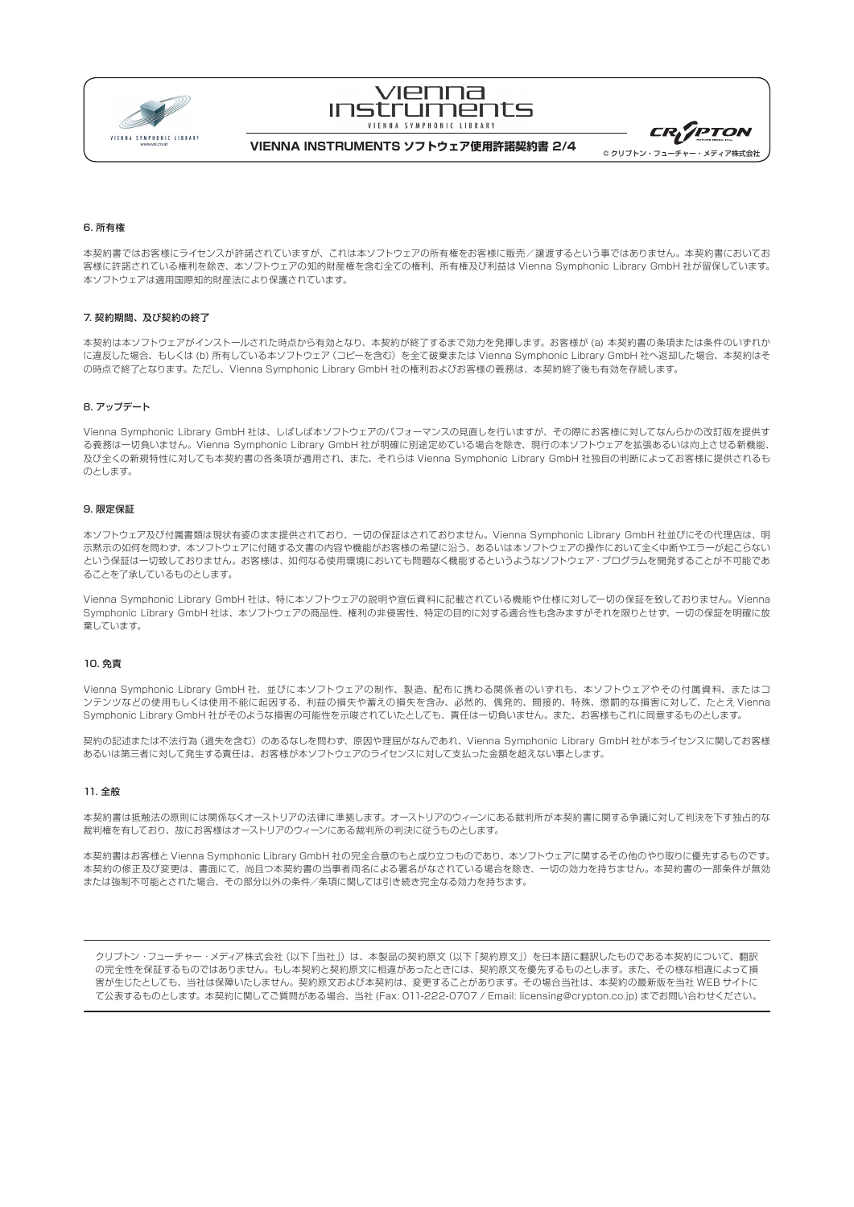

# VIPNNA **INSTRUMENTS** VIENNA SYMPHONIC LIBRARY

**CR<sub>LIPTON</sub>** © クリプトン・フューチャー・メディア株式会社

**VIENNA INSTRUMENTS ソフトウェア使用許諾契約書 2/4**

## 6. 所有権

本契約書ではお客様にライセンスが許諾されていますが、これは本ソフトウェアの所有権をお客様に販売/譲渡するという事ではありません。本契約書においてお 客様に許諾されている権利を除き、本ソフトウェアの知的財産権を含む全ての権利、所有権及び利益は Vienna Symphonic Library GmbH 社が留保しています。 本ソフトウェアは適用国際知的財産法により保護されています。

### 7. 契約期間、及び契約の終了

本契約は本ソフトウェアがインストールされた時点から有効となり、本契約が終了するまで効力を発揮します。お客様が (a) 本契約書の条項または条件のいずれか に違反した場合、もしくは (b) 所有している本ソフトウェア (コピーを含む) を全て破棄または Vienna Symphonic Library GmbH 社へ返却した場合、本契約はそ の時点で終了となります。ただし、Vienna Symphonic Library GmbH 社の権利およびお客様の義務は、本契約終了後も有効を存続します。

### 8. アップデート

Vienna Symphonic Library GmbH 社は、しばしば本ソフトウェアのパフォーマンスの見直しを行いますが、その際にお客様に対してなんらかの改訂版を提供す る義務は一切負いません。Vienna Symphonic Library GmbH 社が明確に別途定めている場合を除き、現行の本ソフトウェアを拡張あるいは向上させる新機能、 及び全くの新規特性に対しても本契約書の各条項が適用され、また、それらは Vienna Symphonic Library GmbH 社独自の判断によってお客様に提供されるも のとします。

## 9. 限定保証

本ソフトウェア及び付属書類は現状有姿のまま提供されており、一切の保証はされておりません。Vienna Symphonic Library GmbH 社並びにその代理店は、明 示黙示の如何を問わず、本ソフトウェアに付随する文書の内容や機能がお客様の希望に沿う、あるいは本ソフトウェアの操作において全く中断やエラーが起こらない という保証は一切致しておりません。お客様は、如何なる使用環境においても問題なく機能するというようなソフトウェア・プログラムを開発することが不可能であ ることを了承しているものとします。

Vienna Symphonic Library GmbH 社は、特に本ソフトウェアの説明や宣伝資料に記載されている機能や仕様に対して一切の保証を致しておりません。Vienna Symphonic Library GmbH 社は、本ソフトウェアの商品性、権利の非侵害性、特定の目的に対する適合性も含みますがそれを限りとせず、一切の保証を明確に放 棄しています。

### 10. 免責

Vienna Symphonic Library GmbH 社、並びに本ソフトウェアの制作、製造、配布に携わる関係者のいずれも、本ソフトウェアやその付属資料、またはコ ンテンツなどの使用もしくは使用不能に起因する、利益の損失や蓄えの損失を含み、必然的、偶発的、間接的、特殊、懲罰的な損害に対して、たとえ Vienna Symphonic Library GmbH 社がそのような損害の可能性を示唆されていたとしても、責任は一切負いません。また、お客様もこれに同意するものとします。

契約の記述または不法行為(過失を含む)のあるなしを問わず、原因や理屈がなんであれ、Vienna Symphonic Library GmbH 社が本ライセンスに関してお客様 あるいは第三者に対して発生する責任は、お客様が本ソフトウェアのライセンスに対して支払った金額を超えない事とします。

## 11. 全般

本契約書は抵触法の原則には関係なくオーストリアの法律に準拠します。オーストリアのウィーンにある裁判所が本契約書に関する争議に対して判決を下す独占的な 裁判権を有しており、故にお客様はオーストリアのウィーンにある裁判所の判決に従うものとします。

本契約書はお客様と Vienna Symphonic Library GmbH 社の完全合意のもと成り立つものであり、本ソフトウェアに関するその他のやり取りに優先するものです。 本契約の修正及び変更は、書面にて、尚且つ本契約書の当事者両名による署名がなされている場合を除き、一切の効力を持ちません。本契約書の一部条件が無効 または強制不可能とされた場合、その部分以外の条件/条項に関しては引き続き完全なる効力を持ちます。

クリプトン·フューチャー·メディア株式会社 (以下「当社」)は、本製品の契約原文 (以下「契約原文」) を日本語に翻訳したものである本契約について、翻訳 の完全性を保証するものではありません。もし本契約と契約原文に相違があったときには、契約原文を優先するものとします。また、その様な相違によって損 害が生じたとしても、当社は保障いたしません。契約原文および本契約は、変更することがあります。その場合当社は、本契約の最新版を当社 WEB サイトに て公表するものとします。本契約に関してご質問がある場合、当社 (Fax: 011-222-0707 / Email: licensing@crypton.co.jp) までお問い合わせください。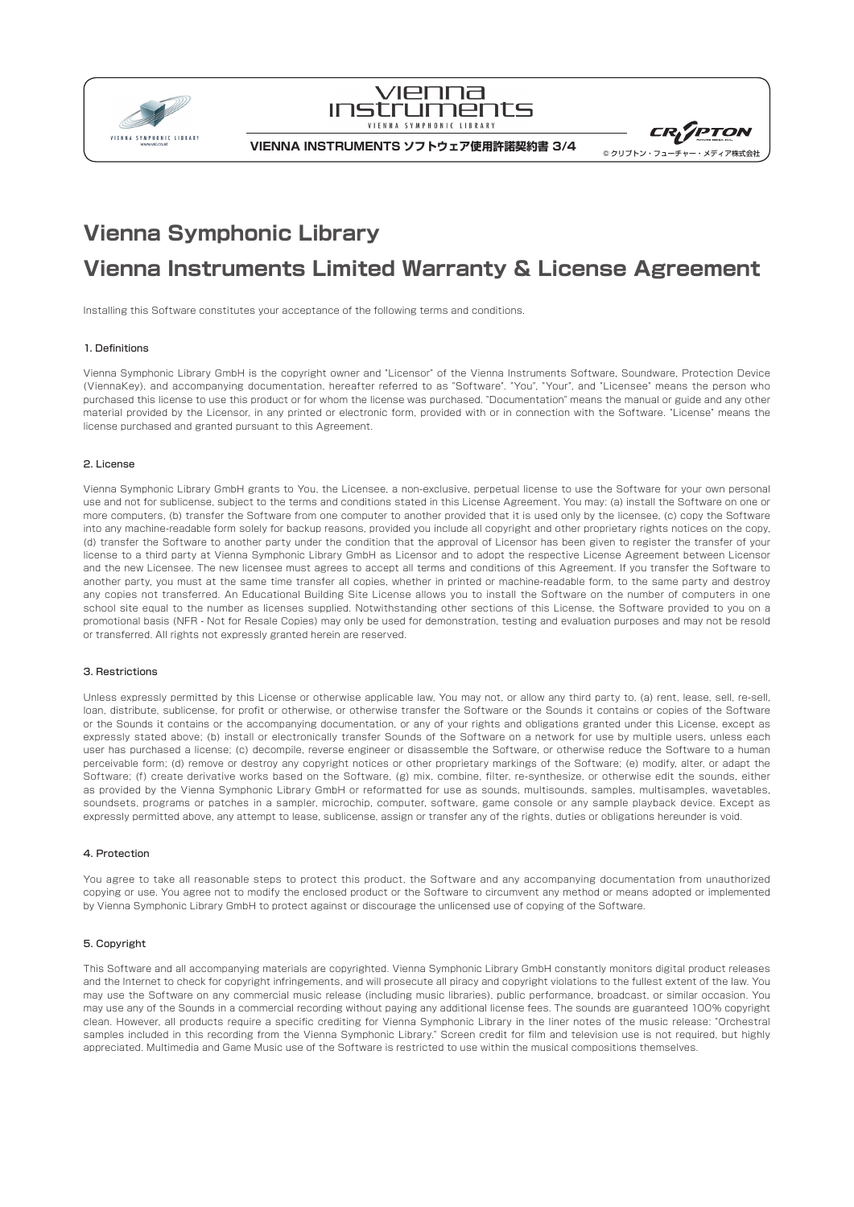



**VIENNA INSTRUMENTS ソフトウェア使用許諾契約書 3/4**



# **Vienna Symphonic Library Vienna Instruments Limited Warranty & License Agreement**

Installing this Software constitutes your acceptance of the following terms and conditions.

### 1. Definitions

Vienna Symphonic Library GmbH is the copyright owner and "Licensor" of the Vienna Instruments Software, Soundware, Protection Device (ViennaKey), and accompanying documentation, hereafter referred to as "Software". "You", "Your", and "Licensee" means the person who purchased this license to use this product or for whom the license was purchased. "Documentation" means the manual or guide and any other material provided by the Licensor, in any printed or electronic form, provided with or in connection with the Software. "License" means the license purchased and granted pursuant to this Agreement.

## 2. License

Vienna Symphonic Library GmbH grants to You, the Licensee, a non-exclusive, perpetual license to use the Software for your own personal use and not for sublicense, subject to the terms and conditions stated in this License Agreement. You may: (a) install the Software on one or more computers, (b) transfer the Software from one computer to another provided that it is used only by the licensee, (c) copy the Software into any machine-readable form solely for backup reasons, provided you include all copyright and other proprietary rights notices on the copy, (d) transfer the Software to another party under the condition that the approval of Licensor has been given to register the transfer of your license to a third party at Vienna Symphonic Library GmbH as Licensor and to adopt the respective License Agreement between Licensor and the new Licensee. The new licensee must agrees to accept all terms and conditions of this Agreement. If you transfer the Software to another party, you must at the same time transfer all copies, whether in printed or machine-readable form, to the same party and destroy any copies not transferred. An Educational Building Site License allows you to install the Software on the number of computers in one school site equal to the number as licenses supplied. Notwithstanding other sections of this License, the Software provided to you on a promotional basis (NFR - Not for Resale Copies) may only be used for demonstration, testing and evaluation purposes and may not be resold or transferred. All rights not expressly granted herein are reserved.

### 3. Restrictions

Unless expressly permitted by this License or otherwise applicable law. You may not, or allow any third party to, (a) rent, lease, sell, re-sell, loan, distribute, sublicense, for profit or otherwise, or otherwise transfer the Software or the Sounds it contains or copies of the Software or the Sounds it contains or the accompanying documentation, or any of your rights and obligations granted under this License, except as expressly stated above; (b) install or electronically transfer Sounds of the Software on a network for use by multiple users, unless each user has purchased a license; (c) decompile, reverse engineer or disassemble the Software, or otherwise reduce the Software to a human perceivable form; (d) remove or destroy any copyright notices or other proprietary markings of the Software; (e) modify, alter, or adapt the Software; (f) create derivative works based on the Software, (g) mix, combine, filter, re-synthesize, or otherwise edit the sounds, either as provided by the Vienna Symphonic Library GmbH or reformatted for use as sounds, multisounds, samples, multisamples, wavetables, soundsets, programs or patches in a sampler, microchip, computer, software, game console or any sample playback device. Except as expressly permitted above, any attempt to lease, sublicense, assign or transfer any of the rights, duties or obligations hereunder is void.

## 4. Protection

You agree to take all reasonable steps to protect this product, the Software and any accompanying documentation from unauthorized copying or use. You agree not to modify the enclosed product or the Software to circumvent any method or means adopted or implemented by Vienna Symphonic Library GmbH to protect against or discourage the unlicensed use of copying of the Software.

#### 5. Copyright

This Software and all accompanying materials are copyrighted. Vienna Symphonic Library GmbH constantly monitors digital product releases and the Internet to check for copyright infringements, and will prosecute all piracy and copyright violations to the fullest extent of the law. You may use the Software on any commercial music release (including music libraries), public performance, broadcast, or similar occasion. You may use any of the Sounds in a commercial recording without paying any additional license fees. The sounds are guaranteed 100% copyright clean. However, all products require a specific crediting for Vienna Symphonic Library in the liner notes of the music release: "Orchestral samples included in this recording from the Vienna Symphonic Library." Screen credit for film and television use is not required, but highly appreciated. Multimedia and Game Music use of the Software is restricted to use within the musical compositions themselves.